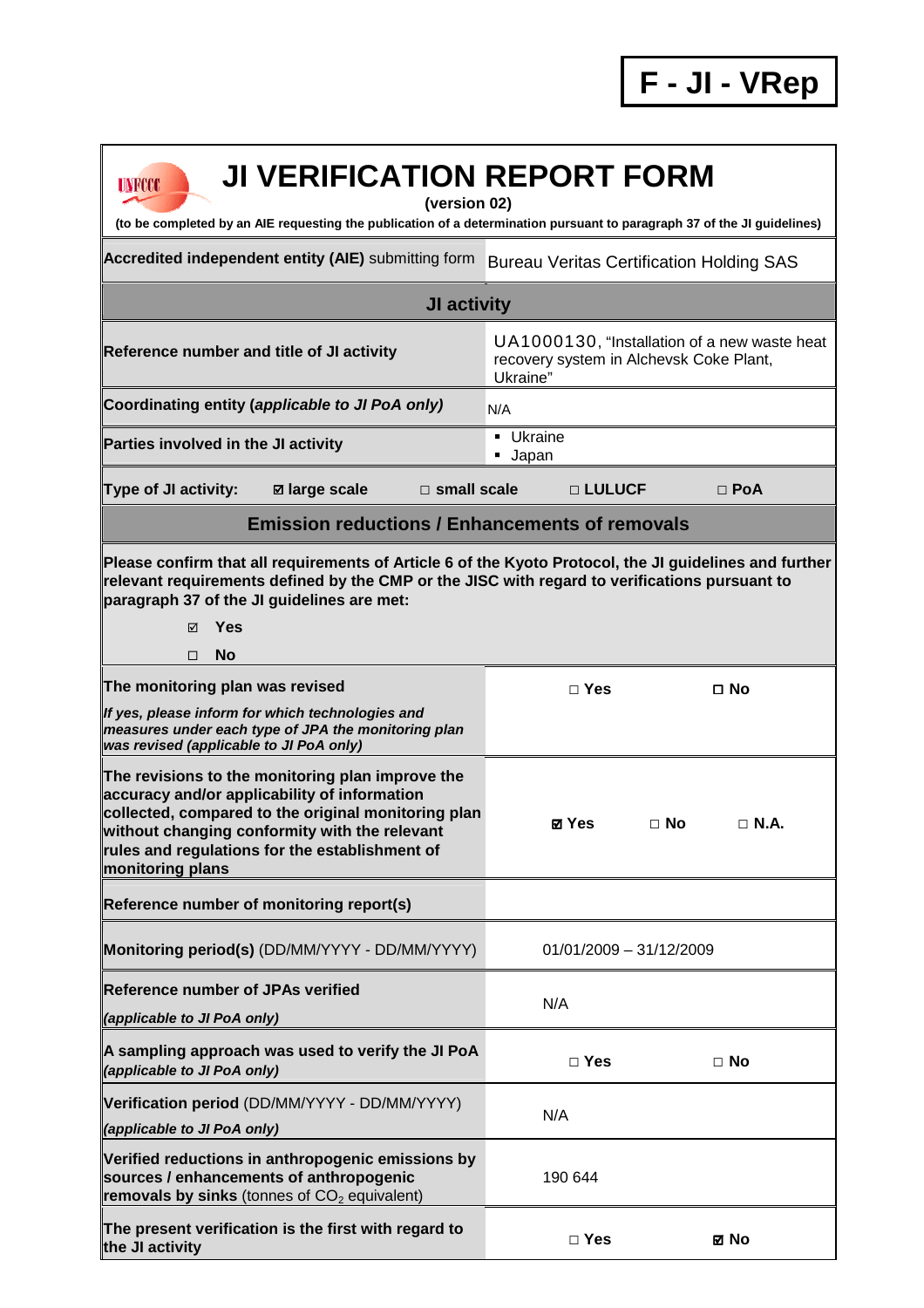**F - JI - VRep**

| <b>JI VERIFICATION REPORT FORM</b><br>UNFCCC<br>(version 02)<br>(to be completed by an AIE requesting the publication of a determination pursuant to paragraph 37 of the JI guidelines)                                                                                             |                                                                                                     |                          |
|-------------------------------------------------------------------------------------------------------------------------------------------------------------------------------------------------------------------------------------------------------------------------------------|-----------------------------------------------------------------------------------------------------|--------------------------|
| Accredited independent entity (AIE) submitting form                                                                                                                                                                                                                                 | <b>Bureau Veritas Certification Holding SAS</b>                                                     |                          |
| JI activity                                                                                                                                                                                                                                                                         |                                                                                                     |                          |
| Reference number and title of JI activity                                                                                                                                                                                                                                           | UA1000130, "Installation of a new waste heat<br>recovery system in Alchevsk Coke Plant,<br>Ukraine" |                          |
| Coordinating entity (applicable to JI PoA only)                                                                                                                                                                                                                                     | N/A                                                                                                 |                          |
| Parties involved in the JI activity                                                                                                                                                                                                                                                 | <b>Ukraine</b><br><b>Japan</b>                                                                      |                          |
| $\square$ small scale<br><b>Type of JI activity:</b><br><b>Ø</b> large scale                                                                                                                                                                                                        | □ LULUCF                                                                                            | $\Box$ PoA               |
| <b>Emission reductions / Enhancements of removals</b>                                                                                                                                                                                                                               |                                                                                                     |                          |
| Please confirm that all requirements of Article 6 of the Kyoto Protocol, the JI guidelines and further<br>relevant requirements defined by the CMP or the JISC with regard to verifications pursuant to<br>paragraph 37 of the JI guidelines are met:<br>Yes<br>⊠<br><b>No</b><br>□ |                                                                                                     |                          |
| The monitoring plan was revised                                                                                                                                                                                                                                                     | $\Box$ Yes                                                                                          | $\square$ No             |
| If yes, please inform for which technologies and<br>measures under each type of JPA the monitoring plan<br>was revised (applicable to JI PoA only)                                                                                                                                  |                                                                                                     |                          |
| The revisions to the monitoring plan improve the<br>accuracy and/or applicability of information<br>collected, compared to the original monitoring plan<br>without changing conformity with the relevant<br>rules and regulations for the establishment of<br>monitoring plans      | ⊠ Yes                                                                                               | $\Box$ No<br>$\Box$ N.A. |
| Reference number of monitoring report(s)                                                                                                                                                                                                                                            |                                                                                                     |                          |
| Monitoring period(s) (DD/MM/YYYY - DD/MM/YYYY)                                                                                                                                                                                                                                      | $01/01/2009 - 31/12/2009$                                                                           |                          |
| <b>Reference number of JPAs verified</b><br>(applicable to JI PoA only)                                                                                                                                                                                                             | N/A                                                                                                 |                          |
| A sampling approach was used to verify the JI PoA<br>(applicable to JI PoA only)                                                                                                                                                                                                    | $\Box$ Yes                                                                                          | $\Box$ No                |
| Verification period (DD/MM/YYYY - DD/MM/YYYY)<br>(applicable to JI PoA only)                                                                                                                                                                                                        | N/A                                                                                                 |                          |
| Verified reductions in anthropogenic emissions by<br>sources / enhancements of anthropogenic<br>removals by sinks (tonnes of $CO2$ equivalent)                                                                                                                                      | 190 644                                                                                             |                          |
| The present verification is the first with regard to<br>the JI activity                                                                                                                                                                                                             | $\Box$ Yes                                                                                          | ⊠ No                     |